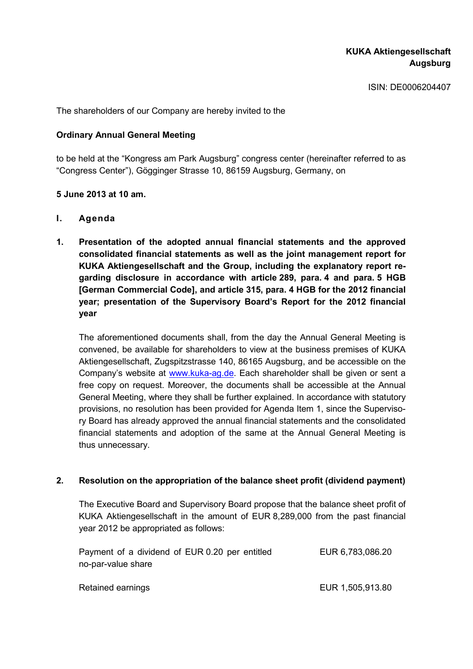ISIN: DE0006204407

The shareholders of our Company are hereby invited to the

## **Ordinary Annual General Meeting**

to be held at the "Kongress am Park Augsburg" congress center (hereinafter referred to as "Congress Center"), Gögginger Strasse 10, 86159 Augsburg, Germany, on

### **5 June 2013 at 10 am.**

- **I. Agenda**
- **1. Presentation of the adopted annual financial statements and the approved consolidated financial statements as well as the joint management report for KUKA Aktiengesellschaft and the Group, including the explanatory report regarding disclosure in accordance with article 289, para. 4 and para. 5 HGB [German Commercial Code], and article 315, para. 4 HGB for the 2012 financial year; presentation of the Supervisory Board's Report for the 2012 financial year**

The aforementioned documents shall, from the day the Annual General Meeting is convened, be available for shareholders to view at the business premises of KUKA Aktiengesellschaft, Zugspitzstrasse 140, 86165 Augsburg, and be accessible on the Company's website at www.kuka-ag.de. Each shareholder shall be given or sent a free copy on request. Moreover, the documents shall be accessible at the Annual General Meeting, where they shall be further explained. In accordance with statutory provisions, no resolution has been provided for Agenda Item 1, since the Supervisory Board has already approved the annual financial statements and the consolidated financial statements and adoption of the same at the Annual General Meeting is thus unnecessary.

#### **2. Resolution on the appropriation of the balance sheet profit (dividend payment)**

The Executive Board and Supervisory Board propose that the balance sheet profit of KUKA Aktiengesellschaft in the amount of EUR 8,289,000 from the past financial year 2012 be appropriated as follows:

| Payment of a dividend of EUR 0.20 per entitled<br>no-par-value share | EUR 6,783,086.20 |
|----------------------------------------------------------------------|------------------|
|                                                                      |                  |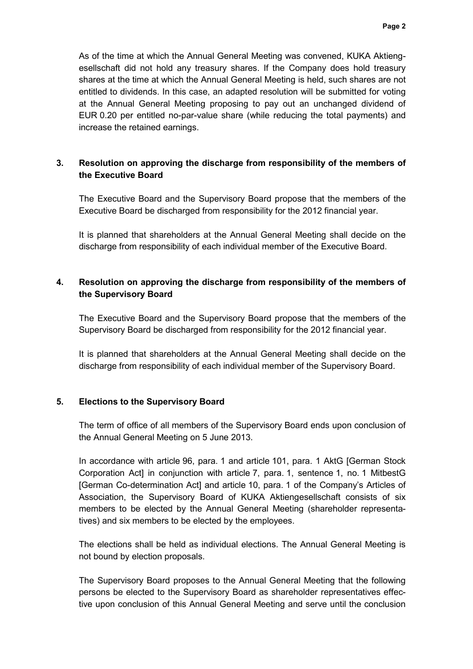As of the time at which the Annual General Meeting was convened, KUKA Aktiengesellschaft did not hold any treasury shares. If the Company does hold treasury shares at the time at which the Annual General Meeting is held, such shares are not entitled to dividends. In this case, an adapted resolution will be submitted for voting at the Annual General Meeting proposing to pay out an unchanged dividend of EUR 0.20 per entitled no-par-value share (while reducing the total payments) and increase the retained earnings.

# **3. Resolution on approving the discharge from responsibility of the members of the Executive Board**

The Executive Board and the Supervisory Board propose that the members of the Executive Board be discharged from responsibility for the 2012 financial year.

It is planned that shareholders at the Annual General Meeting shall decide on the discharge from responsibility of each individual member of the Executive Board.

# **4. Resolution on approving the discharge from responsibility of the members of the Supervisory Board**

The Executive Board and the Supervisory Board propose that the members of the Supervisory Board be discharged from responsibility for the 2012 financial year.

It is planned that shareholders at the Annual General Meeting shall decide on the discharge from responsibility of each individual member of the Supervisory Board.

## **5. Elections to the Supervisory Board**

The term of office of all members of the Supervisory Board ends upon conclusion of the Annual General Meeting on 5 June 2013.

In accordance with article 96, para. 1 and article 101, para. 1 AktG [German Stock Corporation Act] in conjunction with article 7, para. 1, sentence 1, no. 1 MitbestG [German Co-determination Act] and article 10, para. 1 of the Company's Articles of Association, the Supervisory Board of KUKA Aktiengesellschaft consists of six members to be elected by the Annual General Meeting (shareholder representatives) and six members to be elected by the employees.

The elections shall be held as individual elections. The Annual General Meeting is not bound by election proposals.

The Supervisory Board proposes to the Annual General Meeting that the following persons be elected to the Supervisory Board as shareholder representatives effective upon conclusion of this Annual General Meeting and serve until the conclusion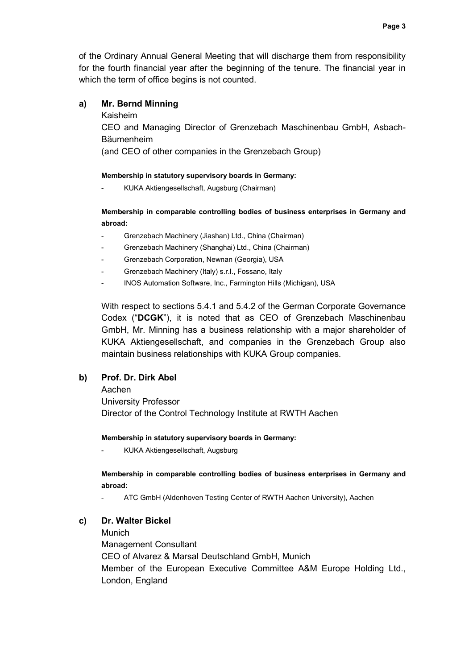of the Ordinary Annual General Meeting that will discharge them from responsibility for the fourth financial year after the beginning of the tenure. The financial year in which the term of office begins is not counted.

## **a) Mr. Bernd Minning**

Kaisheim

CEO and Managing Director of Grenzebach Maschinenbau GmbH, Asbach-Bäumenheim

(and CEO of other companies in the Grenzebach Group)

### **Membership in statutory supervisory boards in Germany:**

- KUKA Aktiengesellschaft, Augsburg (Chairman)

## **Membership in comparable controlling bodies of business enterprises in Germany and abroad:**

- Grenzebach Machinery (Jiashan) Ltd., China (Chairman)
- Grenzebach Machinery (Shanghai) Ltd., China (Chairman)
- Grenzebach Corporation, Newnan (Georgia), USA
- Grenzebach Machinery (Italy) s.r.l., Fossano, Italy
- INOS Automation Software, Inc., Farmington Hills (Michigan), USA

With respect to sections 5.4.1 and 5.4.2 of the German Corporate Governance Codex ("**DCGK**"), it is noted that as CEO of Grenzebach Maschinenbau GmbH, Mr. Minning has a business relationship with a major shareholder of KUKA Aktiengesellschaft, and companies in the Grenzebach Group also maintain business relationships with KUKA Group companies.

## **b) Prof. Dr. Dirk Abel**

Aachen University Professor Director of the Control Technology Institute at RWTH Aachen

#### **Membership in statutory supervisory boards in Germany:**

- KUKA Aktiengesellschaft, Augsburg

### **Membership in comparable controlling bodies of business enterprises in Germany and abroad:**

- ATC GmbH (Aldenhoven Testing Center of RWTH Aachen University), Aachen

## **c) Dr. Walter Bickel**

Munich Management Consultant CEO of Alvarez & Marsal Deutschland GmbH, Munich Member of the European Executive Committee A&M Europe Holding Ltd., London, England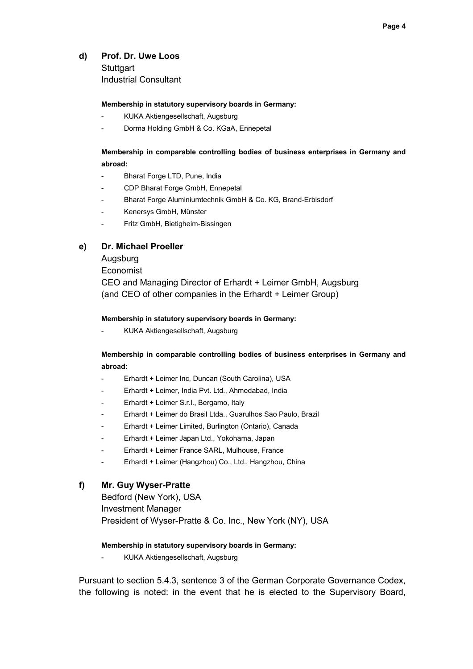### **d) Prof. Dr. Uwe Loos**

**Stuttgart** Industrial Consultant

#### **Membership in statutory supervisory boards in Germany:**

- KUKA Aktiengesellschaft, Augsburg
- Dorma Holding GmbH & Co. KGaA, Ennepetal

## **Membership in comparable controlling bodies of business enterprises in Germany and abroad:**

- Bharat Forge LTD, Pune, India
- CDP Bharat Forge GmbH, Ennepetal
- Bharat Forge Aluminiumtechnik GmbH & Co. KG, Brand-Erbisdorf
- Kenersys GmbH, Münster
- Fritz GmbH, Bietigheim-Bissingen

#### **e) Dr. Michael Proeller**

Augsburg

Economist

CEO and Managing Director of Erhardt + Leimer GmbH, Augsburg (and CEO of other companies in the Erhardt + Leimer Group)

#### **Membership in statutory supervisory boards in Germany:**

- KUKA Aktiengesellschaft, Augsburg

### **Membership in comparable controlling bodies of business enterprises in Germany and abroad:**

- Erhardt + Leimer Inc, Duncan (South Carolina), USA
- Erhardt + Leimer, India Pvt. Ltd., Ahmedabad, India
- Erhardt + Leimer S.r.l., Bergamo, Italy
- Erhardt + Leimer do Brasil Ltda., Guarulhos Sao Paulo, Brazil
- Erhardt + Leimer Limited, Burlington (Ontario), Canada
- Erhardt + Leimer Japan Ltd., Yokohama, Japan
- Erhardt + Leimer France SARL, Mulhouse, France
- Erhardt + Leimer (Hangzhou) Co., Ltd., Hangzhou, China

#### **f) Mr. Guy Wyser-Pratte**

Bedford (New York), USA Investment Manager President of Wyser-Pratte & Co. Inc., New York (NY), USA

#### **Membership in statutory supervisory boards in Germany:**

- KUKA Aktiengesellschaft, Augsburg

Pursuant to section 5.4.3, sentence 3 of the German Corporate Governance Codex, the following is noted: in the event that he is elected to the Supervisory Board,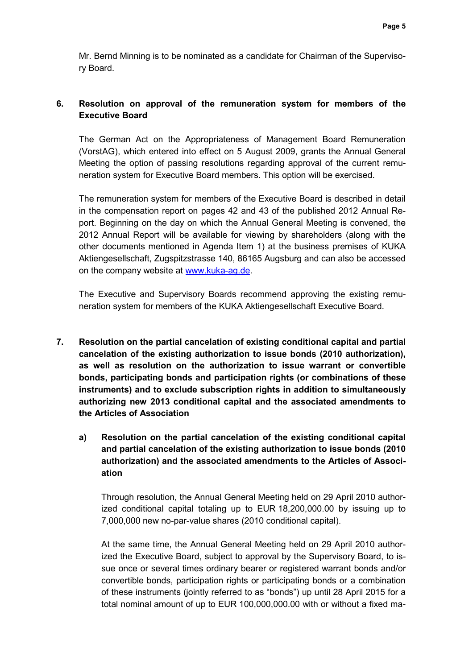Mr. Bernd Minning is to be nominated as a candidate for Chairman of the Supervisory Board.

# **6. Resolution on approval of the remuneration system for members of the Executive Board**

The German Act on the Appropriateness of Management Board Remuneration (VorstAG), which entered into effect on 5 August 2009, grants the Annual General Meeting the option of passing resolutions regarding approval of the current remuneration system for Executive Board members. This option will be exercised.

The remuneration system for members of the Executive Board is described in detail in the compensation report on pages 42 and 43 of the published 2012 Annual Report. Beginning on the day on which the Annual General Meeting is convened, the 2012 Annual Report will be available for viewing by shareholders (along with the other documents mentioned in Agenda Item 1) at the business premises of KUKA Aktiengesellschaft, Zugspitzstrasse 140, 86165 Augsburg and can also be accessed on the company website at www.kuka-ag.de.

The Executive and Supervisory Boards recommend approving the existing remuneration system for members of the KUKA Aktiengesellschaft Executive Board.

- **7. Resolution on the partial cancelation of existing conditional capital and partial cancelation of the existing authorization to issue bonds (2010 authorization), as well as resolution on the authorization to issue warrant or convertible bonds, participating bonds and participation rights (or combinations of these instruments) and to exclude subscription rights in addition to simultaneously authorizing new 2013 conditional capital and the associated amendments to the Articles of Association**
	- **a) Resolution on the partial cancelation of the existing conditional capital and partial cancelation of the existing authorization to issue bonds (2010 authorization) and the associated amendments to the Articles of Association**

Through resolution, the Annual General Meeting held on 29 April 2010 authorized conditional capital totaling up to EUR 18,200,000.00 by issuing up to 7,000,000 new no-par-value shares (2010 conditional capital).

At the same time, the Annual General Meeting held on 29 April 2010 authorized the Executive Board, subject to approval by the Supervisory Board, to issue once or several times ordinary bearer or registered warrant bonds and/or convertible bonds, participation rights or participating bonds or a combination of these instruments (jointly referred to as "bonds") up until 28 April 2015 for a total nominal amount of up to EUR 100,000,000.00 with or without a fixed ma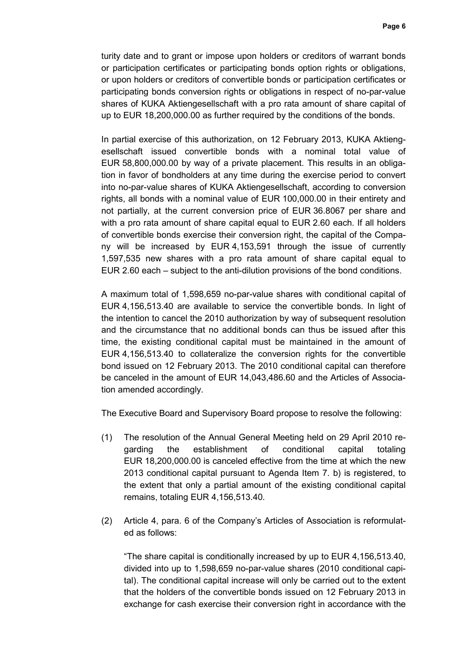turity date and to grant or impose upon holders or creditors of warrant bonds or participation certificates or participating bonds option rights or obligations, or upon holders or creditors of convertible bonds or participation certificates or participating bonds conversion rights or obligations in respect of no-par-value shares of KUKA Aktiengesellschaft with a pro rata amount of share capital of up to EUR 18,200,000.00 as further required by the conditions of the bonds.

In partial exercise of this authorization, on 12 February 2013, KUKA Aktiengesellschaft issued convertible bonds with a nominal total value of EUR 58,800,000.00 by way of a private placement. This results in an obligation in favor of bondholders at any time during the exercise period to convert into no-par-value shares of KUKA Aktiengesellschaft, according to conversion rights, all bonds with a nominal value of EUR 100,000.00 in their entirety and not partially, at the current conversion price of EUR 36.8067 per share and with a pro rata amount of share capital equal to EUR 2.60 each. If all holders of convertible bonds exercise their conversion right, the capital of the Company will be increased by EUR 4,153,591 through the issue of currently 1,597,535 new shares with a pro rata amount of share capital equal to EUR 2.60 each – subject to the anti-dilution provisions of the bond conditions.

A maximum total of 1,598,659 no-par-value shares with conditional capital of EUR 4,156,513.40 are available to service the convertible bonds. In light of the intention to cancel the 2010 authorization by way of subsequent resolution and the circumstance that no additional bonds can thus be issued after this time, the existing conditional capital must be maintained in the amount of EUR 4,156,513.40 to collateralize the conversion rights for the convertible bond issued on 12 February 2013. The 2010 conditional capital can therefore be canceled in the amount of EUR 14,043,486.60 and the Articles of Association amended accordingly.

The Executive Board and Supervisory Board propose to resolve the following:

- (1) The resolution of the Annual General Meeting held on 29 April 2010 regarding the establishment of conditional capital totaling EUR 18,200,000.00 is canceled effective from the time at which the new 2013 conditional capital pursuant to Agenda Item 7. b) is registered, to the extent that only a partial amount of the existing conditional capital remains, totaling EUR 4,156,513.40.
- (2) Article 4, para. 6 of the Company's Articles of Association is reformulated as follows:

"The share capital is conditionally increased by up to EUR 4,156,513.40, divided into up to 1,598,659 no-par-value shares (2010 conditional capital). The conditional capital increase will only be carried out to the extent that the holders of the convertible bonds issued on 12 February 2013 in exchange for cash exercise their conversion right in accordance with the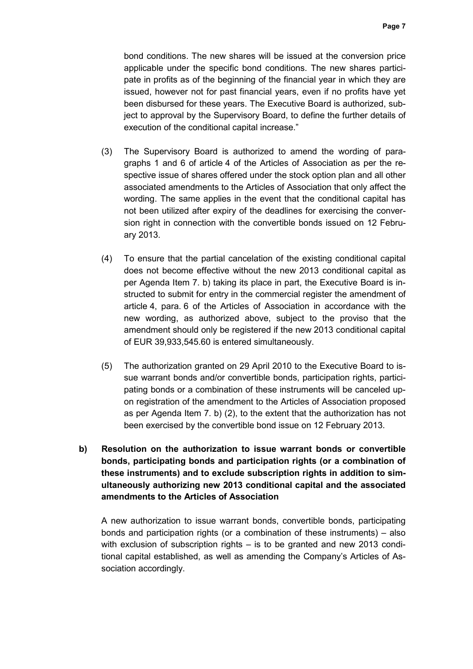bond conditions. The new shares will be issued at the conversion price applicable under the specific bond conditions. The new shares participate in profits as of the beginning of the financial year in which they are issued, however not for past financial years, even if no profits have yet been disbursed for these years. The Executive Board is authorized, subject to approval by the Supervisory Board, to define the further details of execution of the conditional capital increase."

- (3) The Supervisory Board is authorized to amend the wording of paragraphs 1 and 6 of article 4 of the Articles of Association as per the respective issue of shares offered under the stock option plan and all other associated amendments to the Articles of Association that only affect the wording. The same applies in the event that the conditional capital has not been utilized after expiry of the deadlines for exercising the conversion right in connection with the convertible bonds issued on 12 February 2013.
- (4) To ensure that the partial cancelation of the existing conditional capital does not become effective without the new 2013 conditional capital as per Agenda Item 7. b) taking its place in part, the Executive Board is instructed to submit for entry in the commercial register the amendment of article 4, para. 6 of the Articles of Association in accordance with the new wording, as authorized above, subject to the proviso that the amendment should only be registered if the new 2013 conditional capital of EUR 39,933,545.60 is entered simultaneously.
- (5) The authorization granted on 29 April 2010 to the Executive Board to issue warrant bonds and/or convertible bonds, participation rights, participating bonds or a combination of these instruments will be canceled upon registration of the amendment to the Articles of Association proposed as per Agenda Item 7. b) (2), to the extent that the authorization has not been exercised by the convertible bond issue on 12 February 2013.
- **b) Resolution on the authorization to issue warrant bonds or convertible bonds, participating bonds and participation rights (or a combination of these instruments) and to exclude subscription rights in addition to simultaneously authorizing new 2013 conditional capital and the associated amendments to the Articles of Association**

A new authorization to issue warrant bonds, convertible bonds, participating bonds and participation rights (or a combination of these instruments) – also with exclusion of subscription rights – is to be granted and new 2013 conditional capital established, as well as amending the Company's Articles of Association accordingly.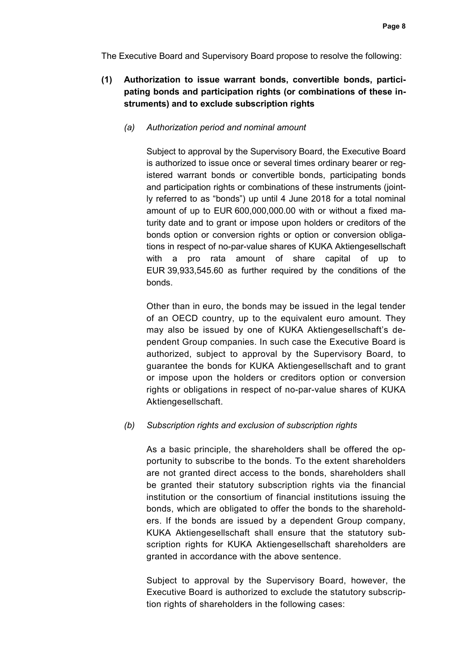The Executive Board and Supervisory Board propose to resolve the following:

# **(1) Authorization to issue warrant bonds, convertible bonds, participating bonds and participation rights (or combinations of these instruments) and to exclude subscription rights**

## *(a) Authorization period and nominal amount*

Subject to approval by the Supervisory Board, the Executive Board is authorized to issue once or several times ordinary bearer or registered warrant bonds or convertible bonds, participating bonds and participation rights or combinations of these instruments (jointly referred to as "bonds") up until 4 June 2018 for a total nominal amount of up to EUR 600,000,000.00 with or without a fixed maturity date and to grant or impose upon holders or creditors of the bonds option or conversion rights or option or conversion obligations in respect of no-par-value shares of KUKA Aktiengesellschaft with a pro rata amount of share capital of up to EUR 39,933,545.60 as further required by the conditions of the bonds.

Other than in euro, the bonds may be issued in the legal tender of an OECD country, up to the equivalent euro amount. They may also be issued by one of KUKA Aktiengesellschaft's dependent Group companies. In such case the Executive Board is authorized, subject to approval by the Supervisory Board, to guarantee the bonds for KUKA Aktiengesellschaft and to grant or impose upon the holders or creditors option or conversion rights or obligations in respect of no-par-value shares of KUKA Aktiengesellschaft.

## *(b) Subscription rights and exclusion of subscription rights*

As a basic principle, the shareholders shall be offered the opportunity to subscribe to the bonds. To the extent shareholders are not granted direct access to the bonds, shareholders shall be granted their statutory subscription rights via the financial institution or the consortium of financial institutions issuing the bonds, which are obligated to offer the bonds to the shareholders. If the bonds are issued by a dependent Group company, KUKA Aktiengesellschaft shall ensure that the statutory subscription rights for KUKA Aktiengesellschaft shareholders are granted in accordance with the above sentence.

Subject to approval by the Supervisory Board, however, the Executive Board is authorized to exclude the statutory subscription rights of shareholders in the following cases: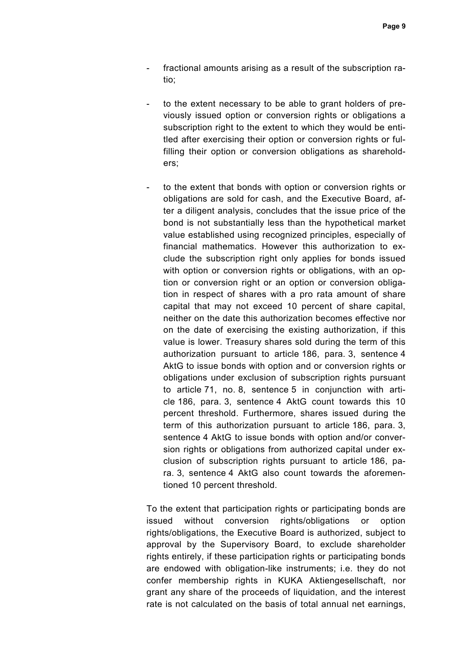- fractional amounts arising as a result of the subscription ratio;
- to the extent necessary to be able to grant holders of previously issued option or conversion rights or obligations a subscription right to the extent to which they would be entitled after exercising their option or conversion rights or fulfilling their option or conversion obligations as shareholders;
- to the extent that bonds with option or conversion rights or obligations are sold for cash, and the Executive Board, after a diligent analysis, concludes that the issue price of the bond is not substantially less than the hypothetical market value established using recognized principles, especially of financial mathematics. However this authorization to exclude the subscription right only applies for bonds issued with option or conversion rights or obligations, with an option or conversion right or an option or conversion obligation in respect of shares with a pro rata amount of share capital that may not exceed 10 percent of share capital, neither on the date this authorization becomes effective nor on the date of exercising the existing authorization, if this value is lower. Treasury shares sold during the term of this authorization pursuant to article 186, para. 3, sentence 4 AktG to issue bonds with option and or conversion rights or obligations under exclusion of subscription rights pursuant to article 71, no. 8, sentence 5 in conjunction with article 186, para. 3, sentence 4 AktG count towards this 10 percent threshold. Furthermore, shares issued during the term of this authorization pursuant to article 186, para. 3, sentence 4 AktG to issue bonds with option and/or conversion rights or obligations from authorized capital under exclusion of subscription rights pursuant to article 186, para. 3, sentence 4 AktG also count towards the aforementioned 10 percent threshold.

To the extent that participation rights or participating bonds are issued without conversion rights/obligations or option rights/obligations, the Executive Board is authorized, subject to approval by the Supervisory Board, to exclude shareholder rights entirely, if these participation rights or participating bonds are endowed with obligation-like instruments; i.e. they do not confer membership rights in KUKA Aktiengesellschaft, nor grant any share of the proceeds of liquidation, and the interest rate is not calculated on the basis of total annual net earnings,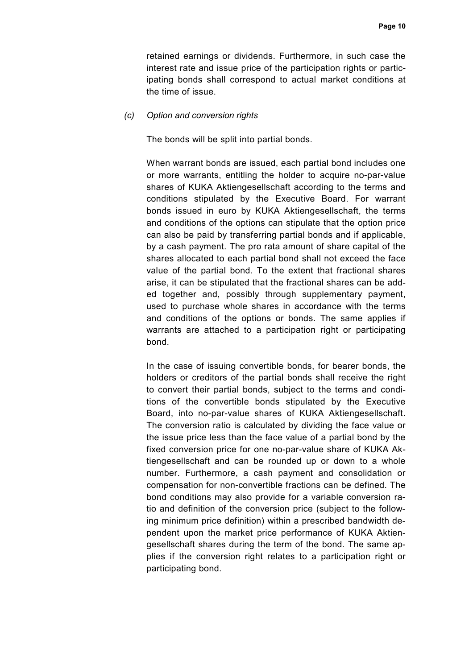retained earnings or dividends. Furthermore, in such case the interest rate and issue price of the participation rights or participating bonds shall correspond to actual market conditions at the time of issue.

#### *(c) Option and conversion rights*

The bonds will be split into partial bonds.

When warrant bonds are issued, each partial bond includes one or more warrants, entitling the holder to acquire no-par-value shares of KUKA Aktiengesellschaft according to the terms and conditions stipulated by the Executive Board. For warrant bonds issued in euro by KUKA Aktiengesellschaft, the terms and conditions of the options can stipulate that the option price can also be paid by transferring partial bonds and if applicable, by a cash payment. The pro rata amount of share capital of the shares allocated to each partial bond shall not exceed the face value of the partial bond. To the extent that fractional shares arise, it can be stipulated that the fractional shares can be added together and, possibly through supplementary payment, used to purchase whole shares in accordance with the terms and conditions of the options or bonds. The same applies if warrants are attached to a participation right or participating bond.

In the case of issuing convertible bonds, for bearer bonds, the holders or creditors of the partial bonds shall receive the right to convert their partial bonds, subject to the terms and conditions of the convertible bonds stipulated by the Executive Board, into no-par-value shares of KUKA Aktiengesellschaft. The conversion ratio is calculated by dividing the face value or the issue price less than the face value of a partial bond by the fixed conversion price for one no-par-value share of KUKA Aktiengesellschaft and can be rounded up or down to a whole number. Furthermore, a cash payment and consolidation or compensation for non-convertible fractions can be defined. The bond conditions may also provide for a variable conversion ratio and definition of the conversion price (subject to the following minimum price definition) within a prescribed bandwidth dependent upon the market price performance of KUKA Aktiengesellschaft shares during the term of the bond. The same applies if the conversion right relates to a participation right or participating bond.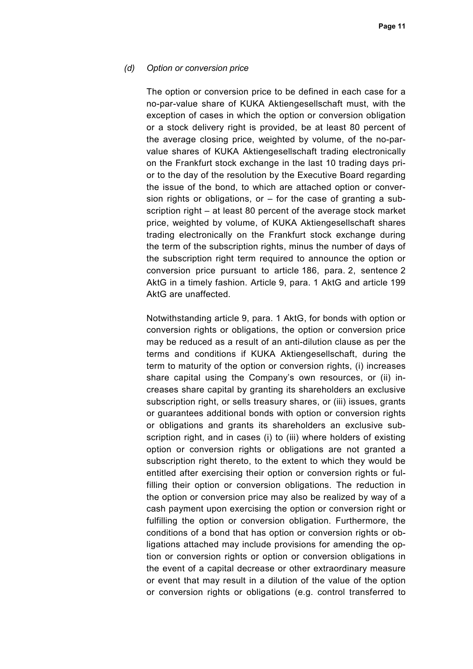### *(d) Option or conversion price*

The option or conversion price to be defined in each case for a no-par-value share of KUKA Aktiengesellschaft must, with the exception of cases in which the option or conversion obligation or a stock delivery right is provided, be at least 80 percent of the average closing price, weighted by volume, of the no-parvalue shares of KUKA Aktiengesellschaft trading electronically on the Frankfurt stock exchange in the last 10 trading days prior to the day of the resolution by the Executive Board regarding the issue of the bond, to which are attached option or conversion rights or obligations, or  $-$  for the case of granting a subscription right – at least 80 percent of the average stock market price, weighted by volume, of KUKA Aktiengesellschaft shares trading electronically on the Frankfurt stock exchange during the term of the subscription rights, minus the number of days of the subscription right term required to announce the option or conversion price pursuant to article 186, para. 2, sentence 2 AktG in a timely fashion. Article 9, para. 1 AktG and article 199 AktG are unaffected.

 Notwithstanding article 9, para. 1 AktG, for bonds with option or conversion rights or obligations, the option or conversion price may be reduced as a result of an anti-dilution clause as per the terms and conditions if KUKA Aktiengesellschaft, during the term to maturity of the option or conversion rights, (i) increases share capital using the Company's own resources, or (ii) increases share capital by granting its shareholders an exclusive subscription right, or sells treasury shares, or (iii) issues, grants or guarantees additional bonds with option or conversion rights or obligations and grants its shareholders an exclusive subscription right, and in cases (i) to (iii) where holders of existing option or conversion rights or obligations are not granted a subscription right thereto, to the extent to which they would be entitled after exercising their option or conversion rights or fulfilling their option or conversion obligations. The reduction in the option or conversion price may also be realized by way of a cash payment upon exercising the option or conversion right or fulfilling the option or conversion obligation. Furthermore, the conditions of a bond that has option or conversion rights or obligations attached may include provisions for amending the option or conversion rights or option or conversion obligations in the event of a capital decrease or other extraordinary measure or event that may result in a dilution of the value of the option or conversion rights or obligations (e.g. control transferred to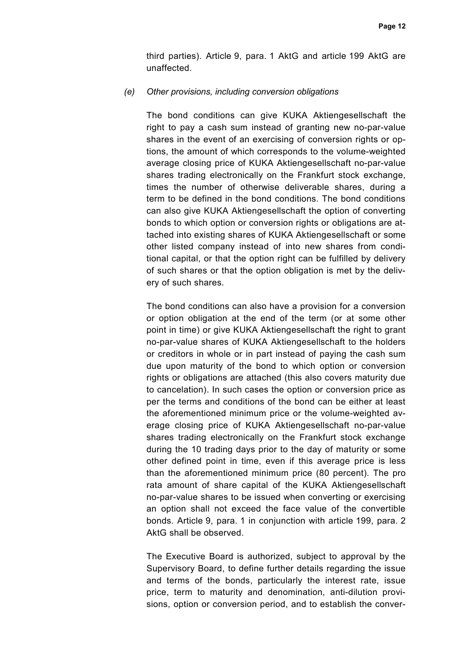third parties). Article 9, para. 1 AktG and article 199 AktG are unaffected.

#### *(e) Other provisions, including conversion obligations*

The bond conditions can give KUKA Aktiengesellschaft the right to pay a cash sum instead of granting new no-par-value shares in the event of an exercising of conversion rights or options, the amount of which corresponds to the volume-weighted average closing price of KUKA Aktiengesellschaft no-par-value shares trading electronically on the Frankfurt stock exchange, times the number of otherwise deliverable shares, during a term to be defined in the bond conditions. The bond conditions can also give KUKA Aktiengesellschaft the option of converting bonds to which option or conversion rights or obligations are attached into existing shares of KUKA Aktiengesellschaft or some other listed company instead of into new shares from conditional capital, or that the option right can be fulfilled by delivery of such shares or that the option obligation is met by the delivery of such shares.

The bond conditions can also have a provision for a conversion or option obligation at the end of the term (or at some other point in time) or give KUKA Aktiengesellschaft the right to grant no-par-value shares of KUKA Aktiengesellschaft to the holders or creditors in whole or in part instead of paying the cash sum due upon maturity of the bond to which option or conversion rights or obligations are attached (this also covers maturity due to cancelation). In such cases the option or conversion price as per the terms and conditions of the bond can be either at least the aforementioned minimum price or the volume-weighted average closing price of KUKA Aktiengesellschaft no-par-value shares trading electronically on the Frankfurt stock exchange during the 10 trading days prior to the day of maturity or some other defined point in time, even if this average price is less than the aforementioned minimum price (80 percent). The pro rata amount of share capital of the KUKA Aktiengesellschaft no-par-value shares to be issued when converting or exercising an option shall not exceed the face value of the convertible bonds. Article 9, para. 1 in conjunction with article 199, para. 2 AktG shall be observed.

The Executive Board is authorized, subject to approval by the Supervisory Board, to define further details regarding the issue and terms of the bonds, particularly the interest rate, issue price, term to maturity and denomination, anti-dilution provisions, option or conversion period, and to establish the conver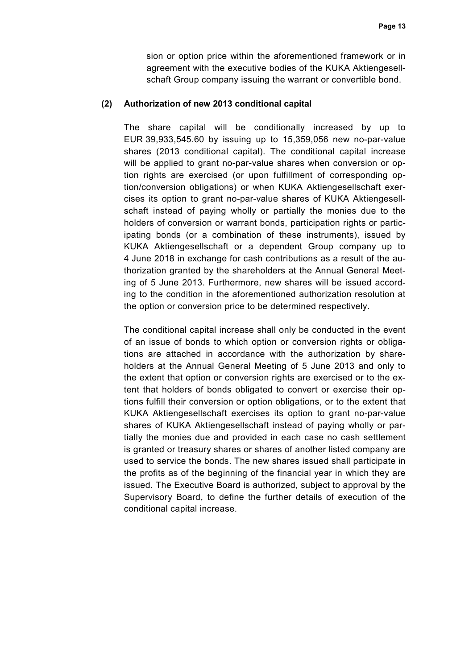sion or option price within the aforementioned framework or in agreement with the executive bodies of the KUKA Aktiengesellschaft Group company issuing the warrant or convertible bond.

#### **(2) Authorization of new 2013 conditional capital**

The share capital will be conditionally increased by up to EUR 39,933,545.60 by issuing up to 15,359,056 new no-par-value shares (2013 conditional capital). The conditional capital increase will be applied to grant no-par-value shares when conversion or option rights are exercised (or upon fulfillment of corresponding option/conversion obligations) or when KUKA Aktiengesellschaft exercises its option to grant no-par-value shares of KUKA Aktiengesellschaft instead of paying wholly or partially the monies due to the holders of conversion or warrant bonds, participation rights or participating bonds (or a combination of these instruments), issued by KUKA Aktiengesellschaft or a dependent Group company up to 4 June 2018 in exchange for cash contributions as a result of the authorization granted by the shareholders at the Annual General Meeting of 5 June 2013. Furthermore, new shares will be issued according to the condition in the aforementioned authorization resolution at the option or conversion price to be determined respectively.

The conditional capital increase shall only be conducted in the event of an issue of bonds to which option or conversion rights or obligations are attached in accordance with the authorization by shareholders at the Annual General Meeting of 5 June 2013 and only to the extent that option or conversion rights are exercised or to the extent that holders of bonds obligated to convert or exercise their options fulfill their conversion or option obligations, or to the extent that KUKA Aktiengesellschaft exercises its option to grant no-par-value shares of KUKA Aktiengesellschaft instead of paying wholly or partially the monies due and provided in each case no cash settlement is granted or treasury shares or shares of another listed company are used to service the bonds. The new shares issued shall participate in the profits as of the beginning of the financial year in which they are issued. The Executive Board is authorized, subject to approval by the Supervisory Board, to define the further details of execution of the conditional capital increase.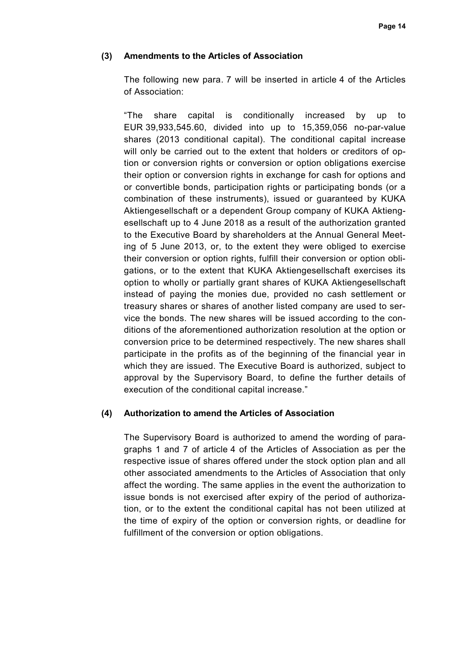### **(3) Amendments to the Articles of Association**

The following new para. 7 will be inserted in article 4 of the Articles of Association:

"The share capital is conditionally increased by up to EUR 39,933,545.60, divided into up to 15,359,056 no-par-value shares (2013 conditional capital). The conditional capital increase will only be carried out to the extent that holders or creditors of option or conversion rights or conversion or option obligations exercise their option or conversion rights in exchange for cash for options and or convertible bonds, participation rights or participating bonds (or a combination of these instruments), issued or guaranteed by KUKA Aktiengesellschaft or a dependent Group company of KUKA Aktiengesellschaft up to 4 June 2018 as a result of the authorization granted to the Executive Board by shareholders at the Annual General Meeting of 5 June 2013, or, to the extent they were obliged to exercise their conversion or option rights, fulfill their conversion or option obligations, or to the extent that KUKA Aktiengesellschaft exercises its option to wholly or partially grant shares of KUKA Aktiengesellschaft instead of paying the monies due, provided no cash settlement or treasury shares or shares of another listed company are used to service the bonds. The new shares will be issued according to the conditions of the aforementioned authorization resolution at the option or conversion price to be determined respectively. The new shares shall participate in the profits as of the beginning of the financial year in which they are issued. The Executive Board is authorized, subject to approval by the Supervisory Board, to define the further details of execution of the conditional capital increase."

#### **(4) Authorization to amend the Articles of Association**

The Supervisory Board is authorized to amend the wording of paragraphs 1 and 7 of article 4 of the Articles of Association as per the respective issue of shares offered under the stock option plan and all other associated amendments to the Articles of Association that only affect the wording. The same applies in the event the authorization to issue bonds is not exercised after expiry of the period of authorization, or to the extent the conditional capital has not been utilized at the time of expiry of the option or conversion rights, or deadline for fulfillment of the conversion or option obligations.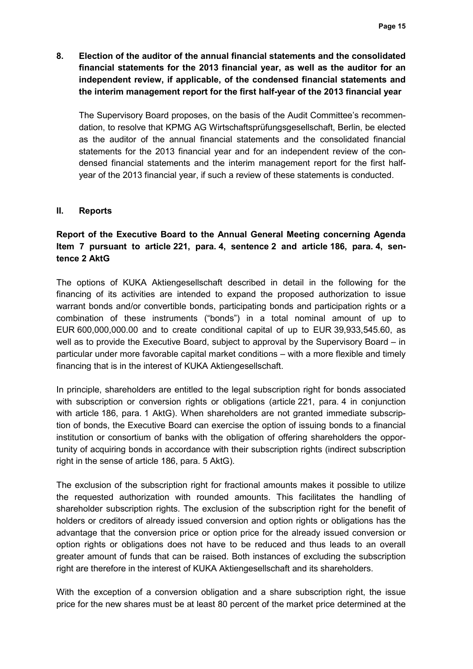**8. Election of the auditor of the annual financial statements and the consolidated financial statements for the 2013 financial year, as well as the auditor for an independent review, if applicable, of the condensed financial statements and the interim management report for the first half-year of the 2013 financial year** 

The Supervisory Board proposes, on the basis of the Audit Committee's recommendation, to resolve that KPMG AG Wirtschaftsprüfungsgesellschaft, Berlin, be elected as the auditor of the annual financial statements and the consolidated financial statements for the 2013 financial year and for an independent review of the condensed financial statements and the interim management report for the first halfyear of the 2013 financial year, if such a review of these statements is conducted.

## **II. Reports**

# **Report of the Executive Board to the Annual General Meeting concerning Agenda Item 7 pursuant to article 221, para. 4, sentence 2 and article 186, para. 4, sentence 2 AktG**

The options of KUKA Aktiengesellschaft described in detail in the following for the financing of its activities are intended to expand the proposed authorization to issue warrant bonds and/or convertible bonds, participating bonds and participation rights or a combination of these instruments ("bonds") in a total nominal amount of up to EUR 600,000,000.00 and to create conditional capital of up to EUR 39,933,545.60, as well as to provide the Executive Board, subject to approval by the Supervisory Board – in particular under more favorable capital market conditions – with a more flexible and timely financing that is in the interest of KUKA Aktiengesellschaft.

In principle, shareholders are entitled to the legal subscription right for bonds associated with subscription or conversion rights or obligations (article 221, para. 4 in conjunction with article 186, para. 1 AktG). When shareholders are not granted immediate subscription of bonds, the Executive Board can exercise the option of issuing bonds to a financial institution or consortium of banks with the obligation of offering shareholders the opportunity of acquiring bonds in accordance with their subscription rights (indirect subscription right in the sense of article 186, para. 5 AktG).

The exclusion of the subscription right for fractional amounts makes it possible to utilize the requested authorization with rounded amounts. This facilitates the handling of shareholder subscription rights. The exclusion of the subscription right for the benefit of holders or creditors of already issued conversion and option rights or obligations has the advantage that the conversion price or option price for the already issued conversion or option rights or obligations does not have to be reduced and thus leads to an overall greater amount of funds that can be raised. Both instances of excluding the subscription right are therefore in the interest of KUKA Aktiengesellschaft and its shareholders.

With the exception of a conversion obligation and a share subscription right, the issue price for the new shares must be at least 80 percent of the market price determined at the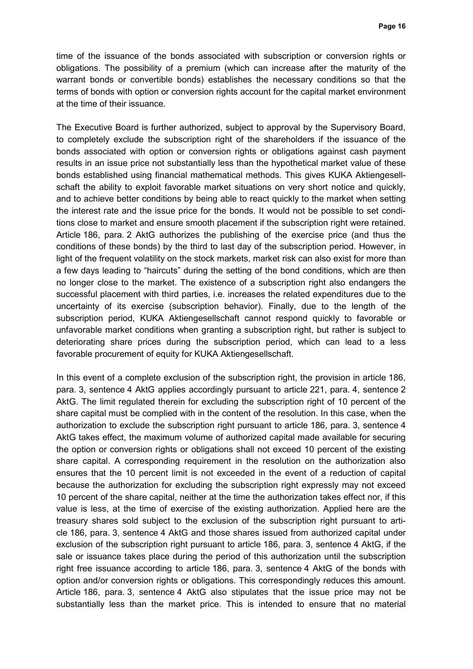time of the issuance of the bonds associated with subscription or conversion rights or obligations. The possibility of a premium (which can increase after the maturity of the warrant bonds or convertible bonds) establishes the necessary conditions so that the terms of bonds with option or conversion rights account for the capital market environment at the time of their issuance.

The Executive Board is further authorized, subject to approval by the Supervisory Board, to completely exclude the subscription right of the shareholders if the issuance of the bonds associated with option or conversion rights or obligations against cash payment results in an issue price not substantially less than the hypothetical market value of these bonds established using financial mathematical methods. This gives KUKA Aktiengesellschaft the ability to exploit favorable market situations on very short notice and quickly, and to achieve better conditions by being able to react quickly to the market when setting the interest rate and the issue price for the bonds. It would not be possible to set conditions close to market and ensure smooth placement if the subscription right were retained. Article 186, para. 2 AktG authorizes the publishing of the exercise price (and thus the conditions of these bonds) by the third to last day of the subscription period. However, in light of the frequent volatility on the stock markets, market risk can also exist for more than a few days leading to "haircuts" during the setting of the bond conditions, which are then no longer close to the market. The existence of a subscription right also endangers the successful placement with third parties, i.e. increases the related expenditures due to the uncertainty of its exercise (subscription behavior). Finally, due to the length of the subscription period, KUKA Aktiengesellschaft cannot respond quickly to favorable or unfavorable market conditions when granting a subscription right, but rather is subject to deteriorating share prices during the subscription period, which can lead to a less favorable procurement of equity for KUKA Aktiengesellschaft.

In this event of a complete exclusion of the subscription right, the provision in article 186, para. 3, sentence 4 AktG applies accordingly pursuant to article 221, para. 4, sentence 2 AktG. The limit regulated therein for excluding the subscription right of 10 percent of the share capital must be complied with in the content of the resolution. In this case, when the authorization to exclude the subscription right pursuant to article 186, para. 3, sentence 4 AktG takes effect, the maximum volume of authorized capital made available for securing the option or conversion rights or obligations shall not exceed 10 percent of the existing share capital. A corresponding requirement in the resolution on the authorization also ensures that the 10 percent limit is not exceeded in the event of a reduction of capital because the authorization for excluding the subscription right expressly may not exceed 10 percent of the share capital, neither at the time the authorization takes effect nor, if this value is less, at the time of exercise of the existing authorization. Applied here are the treasury shares sold subject to the exclusion of the subscription right pursuant to article 186, para. 3, sentence 4 AktG and those shares issued from authorized capital under exclusion of the subscription right pursuant to article 186, para. 3, sentence 4 AktG, if the sale or issuance takes place during the period of this authorization until the subscription right free issuance according to article 186, para. 3, sentence 4 AktG of the bonds with option and/or conversion rights or obligations. This correspondingly reduces this amount. Article 186, para. 3, sentence 4 AktG also stipulates that the issue price may not be substantially less than the market price. This is intended to ensure that no material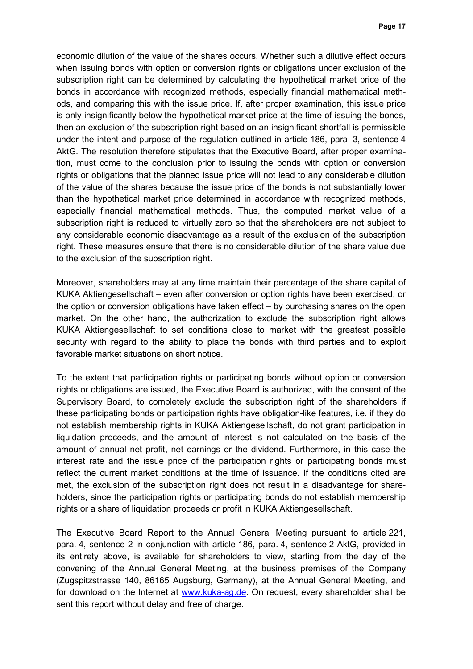economic dilution of the value of the shares occurs. Whether such a dilutive effect occurs when issuing bonds with option or conversion rights or obligations under exclusion of the subscription right can be determined by calculating the hypothetical market price of the bonds in accordance with recognized methods, especially financial mathematical methods, and comparing this with the issue price. If, after proper examination, this issue price is only insignificantly below the hypothetical market price at the time of issuing the bonds, then an exclusion of the subscription right based on an insignificant shortfall is permissible under the intent and purpose of the regulation outlined in article 186, para. 3, sentence 4 AktG. The resolution therefore stipulates that the Executive Board, after proper examination, must come to the conclusion prior to issuing the bonds with option or conversion rights or obligations that the planned issue price will not lead to any considerable dilution of the value of the shares because the issue price of the bonds is not substantially lower than the hypothetical market price determined in accordance with recognized methods, especially financial mathematical methods. Thus, the computed market value of a subscription right is reduced to virtually zero so that the shareholders are not subject to any considerable economic disadvantage as a result of the exclusion of the subscription right. These measures ensure that there is no considerable dilution of the share value due to the exclusion of the subscription right.

Moreover, shareholders may at any time maintain their percentage of the share capital of KUKA Aktiengesellschaft – even after conversion or option rights have been exercised, or the option or conversion obligations have taken effect – by purchasing shares on the open market. On the other hand, the authorization to exclude the subscription right allows KUKA Aktiengesellschaft to set conditions close to market with the greatest possible security with regard to the ability to place the bonds with third parties and to exploit favorable market situations on short notice.

To the extent that participation rights or participating bonds without option or conversion rights or obligations are issued, the Executive Board is authorized, with the consent of the Supervisory Board, to completely exclude the subscription right of the shareholders if these participating bonds or participation rights have obligation-like features, i.e. if they do not establish membership rights in KUKA Aktiengesellschaft, do not grant participation in liquidation proceeds, and the amount of interest is not calculated on the basis of the amount of annual net profit, net earnings or the dividend. Furthermore, in this case the interest rate and the issue price of the participation rights or participating bonds must reflect the current market conditions at the time of issuance. If the conditions cited are met, the exclusion of the subscription right does not result in a disadvantage for shareholders, since the participation rights or participating bonds do not establish membership rights or a share of liquidation proceeds or profit in KUKA Aktiengesellschaft.

The Executive Board Report to the Annual General Meeting pursuant to article 221, para. 4, sentence 2 in conjunction with article 186, para. 4, sentence 2 AktG, provided in its entirety above, is available for shareholders to view, starting from the day of the convening of the Annual General Meeting, at the business premises of the Company (Zugspitzstrasse 140, 86165 Augsburg, Germany), at the Annual General Meeting, and for download on the Internet at www.kuka-ag.de. On request, every shareholder shall be sent this report without delay and free of charge.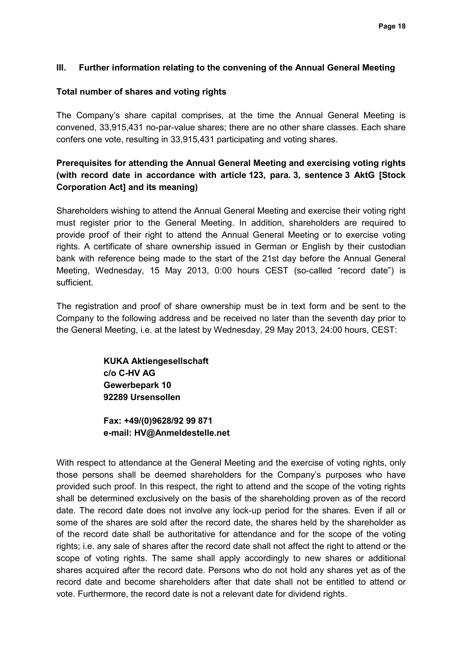## **III. Further information relating to the convening of the Annual General Meeting**

## **Total number of shares and voting rights**

The Company's share capital comprises, at the time the Annual General Meeting is convened, 33,915,431 no-par-value shares; there are no other share classes. Each share confers one vote, resulting in 33,915,431 participating and voting shares.

# **Prerequisites for attending the Annual General Meeting and exercising voting rights (with record date in accordance with article 123, para. 3, sentence 3 AktG [Stock Corporation Act] and its meaning)**

Shareholders wishing to attend the Annual General Meeting and exercise their voting right must register prior to the General Meeting. In addition, shareholders are required to provide proof of their right to attend the Annual General Meeting or to exercise voting rights. A certificate of share ownership issued in German or English by their custodian bank with reference being made to the start of the 21st day before the Annual General Meeting, Wednesday, 15 May 2013, 0:00 hours CEST (so-called "record date") is sufficient.

The registration and proof of share ownership must be in text form and be sent to the Company to the following address and be received no later than the seventh day prior to the General Meeting, i.e. at the latest by Wednesday, 29 May 2013, 24:00 hours, CEST:

> **KUKA Aktiengesellschaft c/o C-HV AG Gewerbepark 10 92289 Ursensollen**

**Fax: +49/(0)9628/92 99 871 e-mail: HV@Anmeldestelle.net** 

With respect to attendance at the General Meeting and the exercise of voting rights, only those persons shall be deemed shareholders for the Company's purposes who have provided such proof. In this respect, the right to attend and the scope of the voting rights shall be determined exclusively on the basis of the shareholding proven as of the record date. The record date does not involve any lock-up period for the shares. Even if all or some of the shares are sold after the record date, the shares held by the shareholder as of the record date shall be authoritative for attendance and for the scope of the voting rights; i.e. any sale of shares after the record date shall not affect the right to attend or the scope of voting rights. The same shall apply accordingly to new shares or additional shares acquired after the record date. Persons who do not hold any shares yet as of the record date and become shareholders after that date shall not be entitled to attend or vote. Furthermore, the record date is not a relevant date for dividend rights.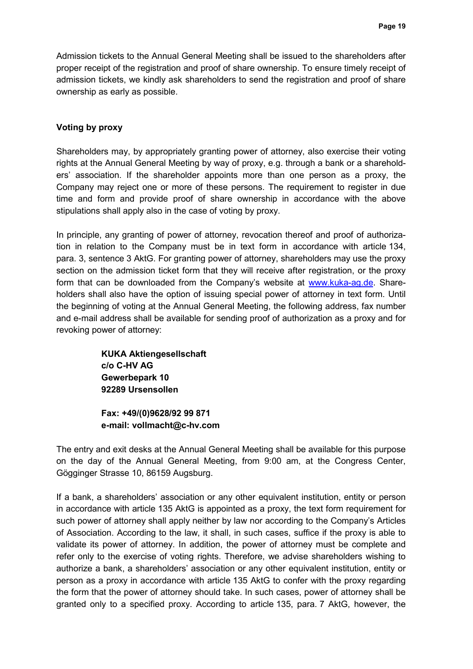Admission tickets to the Annual General Meeting shall be issued to the shareholders after proper receipt of the registration and proof of share ownership. To ensure timely receipt of admission tickets, we kindly ask shareholders to send the registration and proof of share ownership as early as possible.

## **Voting by proxy**

Shareholders may, by appropriately granting power of attorney, also exercise their voting rights at the Annual General Meeting by way of proxy, e.g. through a bank or a shareholders' association. If the shareholder appoints more than one person as a proxy, the Company may reject one or more of these persons. The requirement to register in due time and form and provide proof of share ownership in accordance with the above stipulations shall apply also in the case of voting by proxy.

In principle, any granting of power of attorney, revocation thereof and proof of authorization in relation to the Company must be in text form in accordance with article 134, para. 3, sentence 3 AktG. For granting power of attorney, shareholders may use the proxy section on the admission ticket form that they will receive after registration, or the proxy form that can be downloaded from the Company's website at www.kuka-ag.de. Shareholders shall also have the option of issuing special power of attorney in text form. Until the beginning of voting at the Annual General Meeting, the following address, fax number and e-mail address shall be available for sending proof of authorization as a proxy and for revoking power of attorney:

> **KUKA Aktiengesellschaft c/o C-HV AG Gewerbepark 10 92289 Ursensollen**

**Fax: +49/(0)9628/92 99 871 e-mail: vollmacht@c-hv.com** 

The entry and exit desks at the Annual General Meeting shall be available for this purpose on the day of the Annual General Meeting, from 9:00 am, at the Congress Center, Gögginger Strasse 10, 86159 Augsburg.

If a bank, a shareholders' association or any other equivalent institution, entity or person in accordance with article 135 AktG is appointed as a proxy, the text form requirement for such power of attorney shall apply neither by law nor according to the Company's Articles of Association. According to the law, it shall, in such cases, suffice if the proxy is able to validate its power of attorney. In addition, the power of attorney must be complete and refer only to the exercise of voting rights. Therefore, we advise shareholders wishing to authorize a bank, a shareholders' association or any other equivalent institution, entity or person as a proxy in accordance with article 135 AktG to confer with the proxy regarding the form that the power of attorney should take. In such cases, power of attorney shall be granted only to a specified proxy. According to article 135, para. 7 AktG, however, the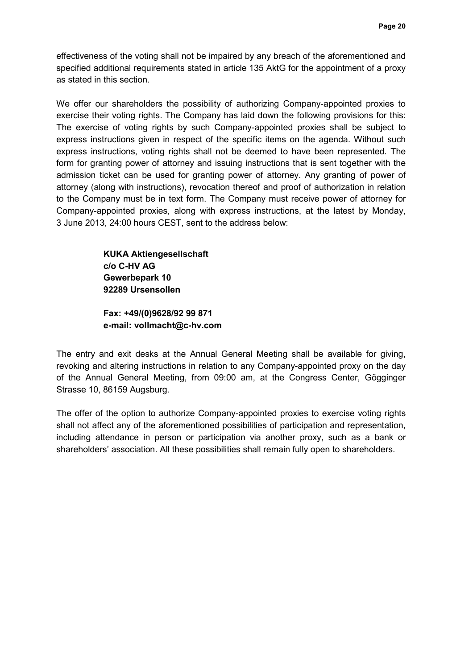effectiveness of the voting shall not be impaired by any breach of the aforementioned and specified additional requirements stated in article 135 AktG for the appointment of a proxy as stated in this section.

We offer our shareholders the possibility of authorizing Company-appointed proxies to exercise their voting rights. The Company has laid down the following provisions for this: The exercise of voting rights by such Company-appointed proxies shall be subject to express instructions given in respect of the specific items on the agenda. Without such express instructions, voting rights shall not be deemed to have been represented. The form for granting power of attorney and issuing instructions that is sent together with the admission ticket can be used for granting power of attorney. Any granting of power of attorney (along with instructions), revocation thereof and proof of authorization in relation to the Company must be in text form. The Company must receive power of attorney for Company-appointed proxies, along with express instructions, at the latest by Monday, 3 June 2013, 24:00 hours CEST, sent to the address below:

> **KUKA Aktiengesellschaft c/o C-HV AG Gewerbepark 10 92289 Ursensollen**

**Fax: +49/(0)9628/92 99 871 e-mail: vollmacht@c-hv.com** 

The entry and exit desks at the Annual General Meeting shall be available for giving, revoking and altering instructions in relation to any Company-appointed proxy on the day of the Annual General Meeting, from 09:00 am, at the Congress Center, Gögginger Strasse 10, 86159 Augsburg.

The offer of the option to authorize Company-appointed proxies to exercise voting rights shall not affect any of the aforementioned possibilities of participation and representation, including attendance in person or participation via another proxy, such as a bank or shareholders' association. All these possibilities shall remain fully open to shareholders.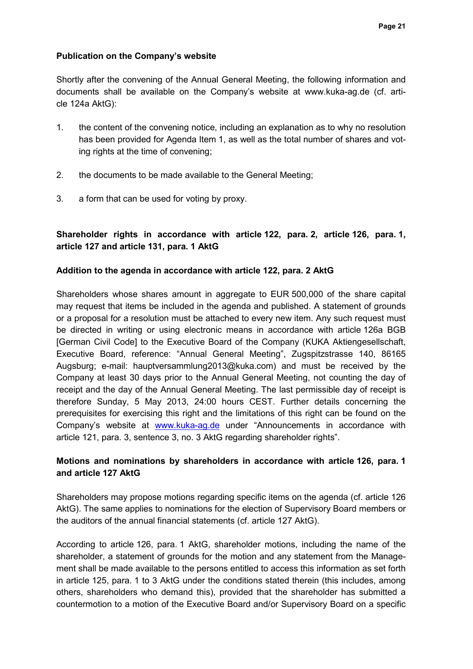## **Publication on the Company's website**

Shortly after the convening of the Annual General Meeting, the following information and documents shall be available on the Company's website at www.kuka-ag.de (cf. article 124a AktG):

- 1. the content of the convening notice, including an explanation as to why no resolution has been provided for Agenda Item 1, as well as the total number of shares and voting rights at the time of convening;
- 2. the documents to be made available to the General Meeting;
- 3. a form that can be used for voting by proxy.

## **Shareholder rights in accordance with article 122, para. 2, article 126, para. 1, article 127 and article 131, para. 1 AktG**

### **Addition to the agenda in accordance with article 122, para. 2 AktG**

Shareholders whose shares amount in aggregate to EUR 500,000 of the share capital may request that items be included in the agenda and published. A statement of grounds or a proposal for a resolution must be attached to every new item. Any such request must be directed in writing or using electronic means in accordance with article 126a BGB [German Civil Code] to the Executive Board of the Company (KUKA Aktiengesellschaft, Executive Board, reference: "Annual General Meeting", Zugspitzstrasse 140, 86165 Augsburg; e-mail: hauptversammlung2013@kuka.com) and must be received by the Company at least 30 days prior to the Annual General Meeting, not counting the day of receipt and the day of the Annual General Meeting. The last permissible day of receipt is therefore Sunday, 5 May 2013, 24:00 hours CEST. Further details concerning the prerequisites for exercising this right and the limitations of this right can be found on the Company's website at www.kuka-ag.de under "Announcements in accordance with article 121, para. 3, sentence 3, no. 3 AktG regarding shareholder rights".

## **Motions and nominations by shareholders in accordance with article 126, para. 1 and article 127 AktG**

Shareholders may propose motions regarding specific items on the agenda (cf. article 126 AktG). The same applies to nominations for the election of Supervisory Board members or the auditors of the annual financial statements (cf. article 127 AktG).

According to article 126, para. 1 AktG, shareholder motions, including the name of the shareholder, a statement of grounds for the motion and any statement from the Management shall be made available to the persons entitled to access this information as set forth in article 125, para. 1 to 3 AktG under the conditions stated therein (this includes, among others, shareholders who demand this), provided that the shareholder has submitted a countermotion to a motion of the Executive Board and/or Supervisory Board on a specific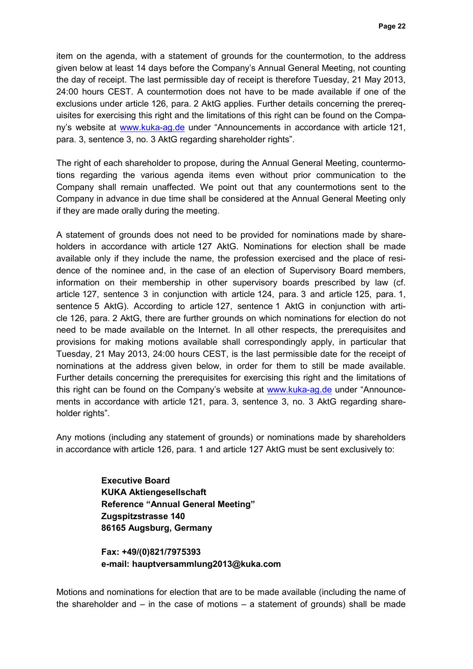item on the agenda, with a statement of grounds for the countermotion, to the address given below at least 14 days before the Company's Annual General Meeting, not counting the day of receipt. The last permissible day of receipt is therefore Tuesday, 21 May 2013, 24:00 hours CEST. A countermotion does not have to be made available if one of the exclusions under article 126, para. 2 AktG applies. Further details concerning the prerequisites for exercising this right and the limitations of this right can be found on the Company's website at www.kuka-ag.de under "Announcements in accordance with article 121, para. 3, sentence 3, no. 3 AktG regarding shareholder rights".

The right of each shareholder to propose, during the Annual General Meeting, countermotions regarding the various agenda items even without prior communication to the Company shall remain unaffected. We point out that any countermotions sent to the Company in advance in due time shall be considered at the Annual General Meeting only if they are made orally during the meeting.

A statement of grounds does not need to be provided for nominations made by shareholders in accordance with article 127 AktG. Nominations for election shall be made available only if they include the name, the profession exercised and the place of residence of the nominee and, in the case of an election of Supervisory Board members, information on their membership in other supervisory boards prescribed by law (cf. article 127, sentence 3 in conjunction with article 124, para. 3 and article 125, para. 1, sentence 5 AktG). According to article 127, sentence 1 AktG in conjunction with article 126, para. 2 AktG, there are further grounds on which nominations for election do not need to be made available on the Internet. In all other respects, the prerequisites and provisions for making motions available shall correspondingly apply, in particular that Tuesday, 21 May 2013, 24:00 hours CEST, is the last permissible date for the receipt of nominations at the address given below, in order for them to still be made available. Further details concerning the prerequisites for exercising this right and the limitations of this right can be found on the Company's website at www.kuka-ag.de under "Announcements in accordance with article 121, para. 3, sentence 3, no. 3 AktG regarding shareholder rights".

Any motions (including any statement of grounds) or nominations made by shareholders in accordance with article 126, para. 1 and article 127 AktG must be sent exclusively to:

> **Executive Board KUKA Aktiengesellschaft Reference "Annual General Meeting" Zugspitzstrasse 140 86165 Augsburg, Germany**

**Fax: +49/(0)821/7975393 e-mail: hauptversammlung2013@kuka.com**

Motions and nominations for election that are to be made available (including the name of the shareholder and  $-$  in the case of motions  $-$  a statement of grounds) shall be made